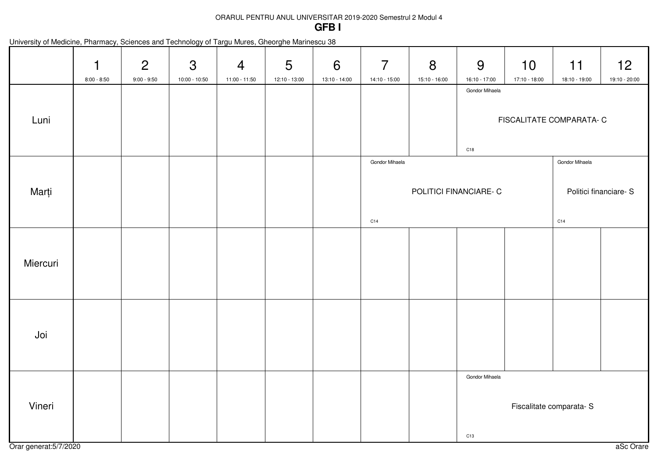## ORARUL PENTRU ANUL UNIVERSITAR 2019-2020 Semestrul 2 Modul 4**GFB I**

| University of Medicine, Pharmacy, Sciences and Technology of Targu Mures, Gheorghe Marinescu 38 |  |  |  |  |
|-------------------------------------------------------------------------------------------------|--|--|--|--|
|-------------------------------------------------------------------------------------------------|--|--|--|--|

|          | 1<br>$8:00 - 8:50$ | $\overline{2}$<br>$9:00 - 9:50$ | $\mathfrak{S}$<br>10:00 - 10:50 | $\overline{4}$<br>11:00 - 11:50 | $5\phantom{.0}$<br>12:10 - 13:00 | 6<br>13:10 - 14:00 | $\overline{7}$<br>14:10 - 15:00 | 8<br>15:10 - 16:00     | 9<br>16:10 - 17:00                                           | 10<br>17:10 - 18:00 | 11<br>18:10 - 19:00                      | 12<br>19:10 - 20:00 |
|----------|--------------------|---------------------------------|---------------------------------|---------------------------------|----------------------------------|--------------------|---------------------------------|------------------------|--------------------------------------------------------------|---------------------|------------------------------------------|---------------------|
| Luni     |                    |                                 |                                 |                                 |                                  |                    |                                 |                        | Gondor Mihaela<br>FISCALITATE COMPARATA- C<br>C18            |                     |                                          |                     |
| Marți    |                    |                                 |                                 |                                 |                                  |                    | Gondor Mihaela                  | POLITICI FINANCIARE- C |                                                              |                     | Gondor Mihaela<br>Politici financiare- S |                     |
| Miercuri |                    |                                 |                                 |                                 |                                  |                    | C14                             |                        |                                                              |                     | C14                                      |                     |
| Joi      |                    |                                 |                                 |                                 |                                  |                    |                                 |                        |                                                              |                     |                                          |                     |
| Vineri   |                    |                                 |                                 |                                 |                                  |                    |                                 |                        | Gondor Mihaela<br>Fiscalitate comparata-S<br>C <sub>13</sub> |                     |                                          |                     |